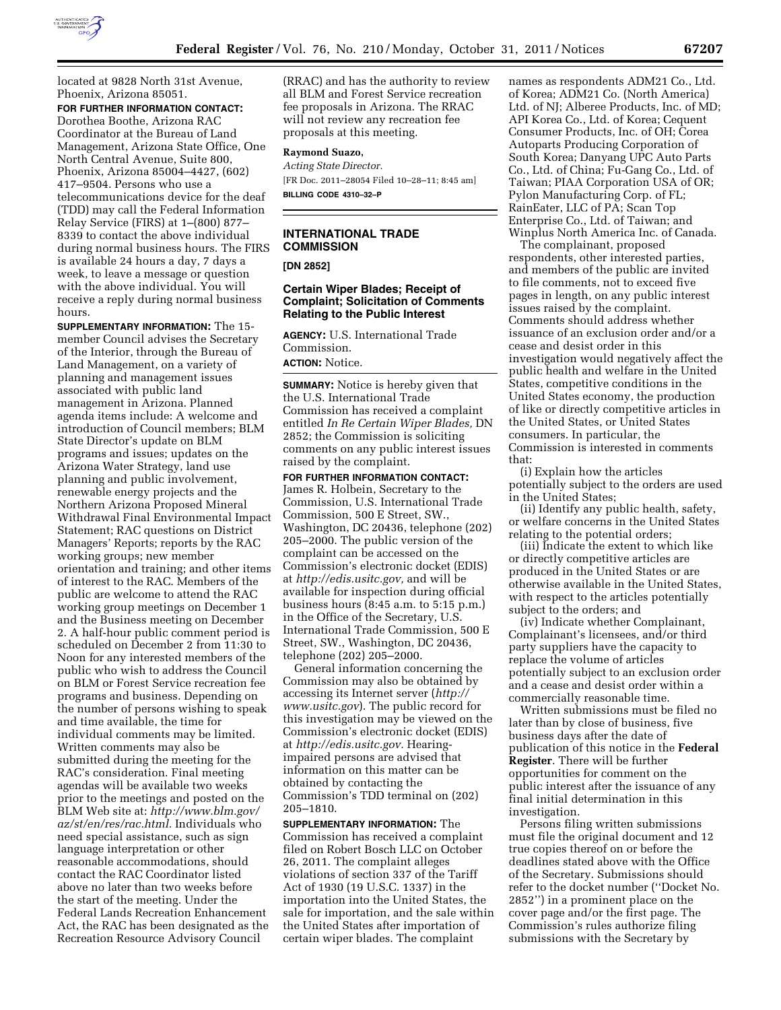

located at 9828 North 31st Avenue, Phoenix, Arizona 85051.

**FOR FURTHER INFORMATION CONTACT:**  Dorothea Boothe, Arizona RAC Coordinator at the Bureau of Land Management, Arizona State Office, One North Central Avenue, Suite 800, Phoenix, Arizona 85004–4427, (602) 417–9504. Persons who use a telecommunications device for the deaf (TDD) may call the Federal Information Relay Service (FIRS) at 1–(800) 877– 8339 to contact the above individual during normal business hours. The FIRS is available 24 hours a day, 7 days a week, to leave a message or question with the above individual. You will receive a reply during normal business hours.

**SUPPLEMENTARY INFORMATION:** The 15 member Council advises the Secretary of the Interior, through the Bureau of Land Management, on a variety of planning and management issues associated with public land management in Arizona. Planned agenda items include: A welcome and introduction of Council members; BLM State Director's update on BLM programs and issues; updates on the Arizona Water Strategy, land use planning and public involvement, renewable energy projects and the Northern Arizona Proposed Mineral Withdrawal Final Environmental Impact Statement; RAC questions on District Managers' Reports; reports by the RAC working groups; new member orientation and training; and other items of interest to the RAC. Members of the public are welcome to attend the RAC working group meetings on December 1 and the Business meeting on December 2. A half-hour public comment period is scheduled on December 2 from 11:30 to Noon for any interested members of the public who wish to address the Council on BLM or Forest Service recreation fee programs and business. Depending on the number of persons wishing to speak and time available, the time for individual comments may be limited. Written comments may also be submitted during the meeting for the RAC's consideration. Final meeting agendas will be available two weeks prior to the meetings and posted on the BLM Web site at: *[http://www.blm.gov/](http://www.blm.gov/az/st/en/res/rac.html) [az/st/en/res/rac.html.](http://www.blm.gov/az/st/en/res/rac.html)* Individuals who need special assistance, such as sign language interpretation or other reasonable accommodations, should contact the RAC Coordinator listed above no later than two weeks before the start of the meeting. Under the Federal Lands Recreation Enhancement Act, the RAC has been designated as the Recreation Resource Advisory Council

(RRAC) and has the authority to review all BLM and Forest Service recreation fee proposals in Arizona. The RRAC will not review any recreation fee proposals at this meeting.

# **Raymond Suazo,**

*Acting State Director.*  [FR Doc. 2011–28054 Filed 10–28–11; 8:45 am] **BILLING CODE 4310–32–P** 

# **INTERNATIONAL TRADE COMMISSION**

**[DN 2852]** 

## **Certain Wiper Blades; Receipt of Complaint; Solicitation of Comments Relating to the Public Interest**

**AGENCY:** U.S. International Trade Commission.

**ACTION:** Notice.

**SUMMARY:** Notice is hereby given that the U.S. International Trade Commission has received a complaint entitled *In Re Certain Wiper Blades,* DN 2852; the Commission is soliciting comments on any public interest issues raised by the complaint.

**FOR FURTHER INFORMATION CONTACT:**  James R. Holbein, Secretary to the Commission, U.S. International Trade Commission, 500 E Street, SW., Washington, DC 20436, telephone (202) 205–2000. The public version of the complaint can be accessed on the Commission's electronic docket (EDIS) at *[http://edis.usitc.gov,](http://edis.usitc.gov)* and will be available for inspection during official business hours (8:45 a.m. to 5:15 p.m.) in the Office of the Secretary, U.S. International Trade Commission, 500 E Street, SW., Washington, DC 20436, telephone (202) 205–2000.

General information concerning the Commission may also be obtained by accessing its Internet server (*[http://](http://www.usitc.gov)  [www.usitc.gov](http://www.usitc.gov)*). The public record for this investigation may be viewed on the Commission's electronic docket (EDIS) at *[http://edis.usitc.gov.](http://edis.usitc.gov)* Hearingimpaired persons are advised that information on this matter can be obtained by contacting the Commission's TDD terminal on (202) 205–1810.

**SUPPLEMENTARY INFORMATION:** The Commission has received a complaint filed on Robert Bosch LLC on October 26, 2011. The complaint alleges violations of section 337 of the Tariff Act of 1930 (19 U.S.C. 1337) in the importation into the United States, the sale for importation, and the sale within the United States after importation of certain wiper blades. The complaint

names as respondents ADM21 Co., Ltd. of Korea; ADM21 Co. (North America) Ltd. of NJ; Alberee Products, Inc. of MD; API Korea Co., Ltd. of Korea; Cequent Consumer Products, Inc. of OH; Corea Autoparts Producing Corporation of South Korea; Danyang UPC Auto Parts Co., Ltd. of China; Fu-Gang Co., Ltd. of Taiwan; PIAA Corporation USA of OR; Pylon Manufacturing Corp. of FL; RainEater, LLC of PA; Scan Top Enterprise Co., Ltd. of Taiwan; and Winplus North America Inc. of Canada.

The complainant, proposed respondents, other interested parties, and members of the public are invited to file comments, not to exceed five pages in length, on any public interest issues raised by the complaint. Comments should address whether issuance of an exclusion order and/or a cease and desist order in this investigation would negatively affect the public health and welfare in the United States, competitive conditions in the United States economy, the production of like or directly competitive articles in the United States, or United States consumers. In particular, the Commission is interested in comments that:

(i) Explain how the articles potentially subject to the orders are used in the United States;

(ii) Identify any public health, safety, or welfare concerns in the United States relating to the potential orders;

(iii) Indicate the extent to which like or directly competitive articles are produced in the United States or are otherwise available in the United States, with respect to the articles potentially subject to the orders; and

(iv) Indicate whether Complainant, Complainant's licensees, and/or third party suppliers have the capacity to replace the volume of articles potentially subject to an exclusion order and a cease and desist order within a commercially reasonable time.

Written submissions must be filed no later than by close of business, five business days after the date of publication of this notice in the **Federal Register**. There will be further opportunities for comment on the public interest after the issuance of any final initial determination in this investigation.

Persons filing written submissions must file the original document and 12 true copies thereof on or before the deadlines stated above with the Office of the Secretary. Submissions should refer to the docket number (''Docket No. 2852'') in a prominent place on the cover page and/or the first page. The Commission's rules authorize filing submissions with the Secretary by